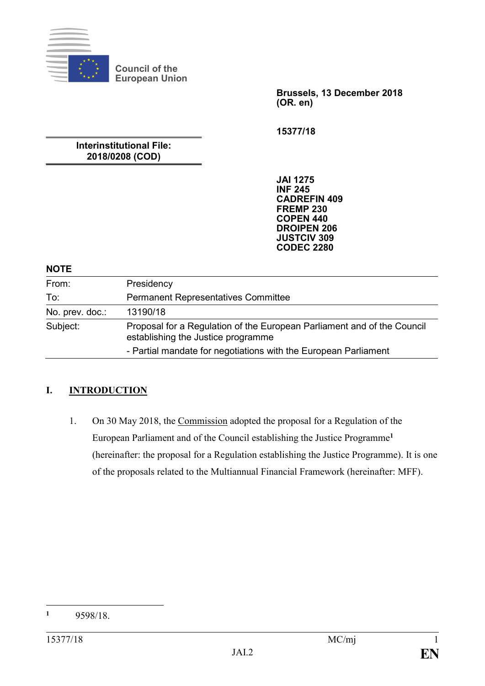

**Brussels, 13 December 2018 (OR. en)**

**15377/18**

**Interinstitutional File: 2018/0208 (COD)**

**Council of the European Union**

> **JAI 1275 INF 245 CADREFIN 409 FREMP 230 COPEN 440 DROIPEN 206 JUSTCIV 309 CODEC 2280**

#### **NOTE**

| From:           | Presidency                                                                                                    |
|-----------------|---------------------------------------------------------------------------------------------------------------|
| To:             | <b>Permanent Representatives Committee</b>                                                                    |
| No. prev. doc.: | 13190/18                                                                                                      |
| Subject:        | Proposal for a Regulation of the European Parliament and of the Council<br>establishing the Justice programme |
|                 | - Partial mandate for negotiations with the European Parliament                                               |

#### **I. INTRODUCTION**

1. On 30 May 2018, the Commission adopted the proposal for a Regulation of the European Parliament and of the Council establishing the Justice Programme**<sup>1</sup>** (hereinafter: the proposal for a Regulation establishing the Justice Programme). It is one of the proposals related to the Multiannual Financial Framework (hereinafter: MFF).

 $\mathbf{1}$ **<sup>1</sup>** 9598/18.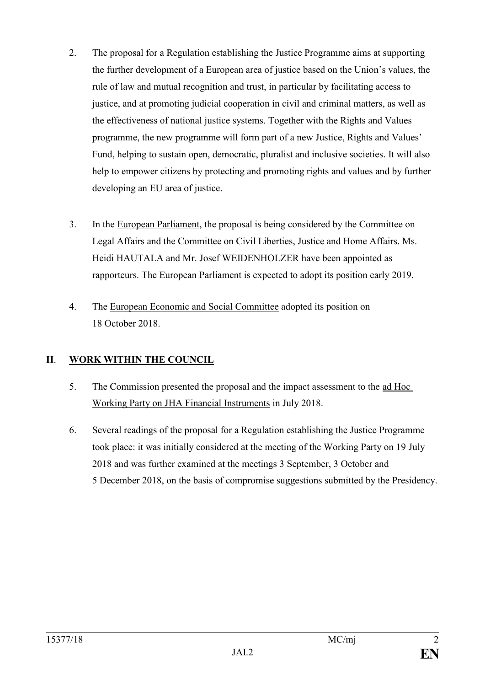- 2. The proposal for a Regulation establishing the Justice Programme aims at supporting the further development of a European area of justice based on the Union's values, the rule of law and mutual recognition and trust, in particular by facilitating access to justice, and at promoting judicial cooperation in civil and criminal matters, as well as the effectiveness of national justice systems. Together with the Rights and Values programme, the new programme will form part of a new Justice, Rights and Values' Fund, helping to sustain open, democratic, pluralist and inclusive societies. It will also help to empower citizens by protecting and promoting rights and values and by further developing an EU area of justice.
- 3. In the European Parliament, the proposal is being considered by the Committee on Legal Affairs and the Committee on Civil Liberties, Justice and Home Affairs. Ms. Heidi HAUTALA and Mr. Josef WEIDENHOLZER have been appointed as rapporteurs. The European Parliament is expected to adopt its position early 2019.
- 4. The European Economic and Social Committee adopted its position on 18 October 2018.

## **II**. **WORK WITHIN THE COUNCIL**

- 5. The Commission presented the proposal and the impact assessment to the ad Hoc Working Party on JHA Financial Instruments in July 2018.
- 6. Several readings of the proposal for a Regulation establishing the Justice Programme took place: it was initially considered at the meeting of the Working Party on 19 July 2018 and was further examined at the meetings 3 September, 3 October and 5 December 2018, on the basis of compromise suggestions submitted by the Presidency.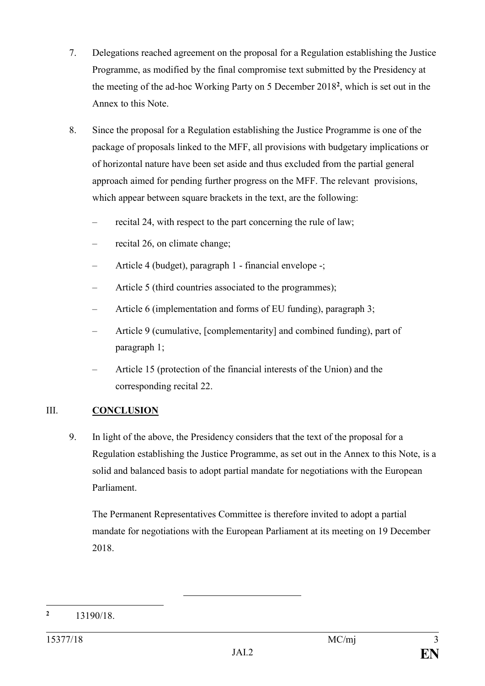- 7. Delegations reached agreement on the proposal for a Regulation establishing the Justice Programme, as modified by the final compromise text submitted by the Presidency at the meeting of the ad-hoc Working Party on 5 December 2018**<sup>2</sup>** , which is set out in the Annex to this Note.
- 8. Since the proposal for a Regulation establishing the Justice Programme is one of the package of proposals linked to the MFF, all provisions with budgetary implications or of horizontal nature have been set aside and thus excluded from the partial general approach aimed for pending further progress on the MFF. The relevant provisions, which appear between square brackets in the text, are the following:
	- recital 24, with respect to the part concerning the rule of law;
	- recital 26, on climate change;
	- Article 4 (budget), paragraph 1 financial envelope -;
	- Article 5 (third countries associated to the programmes);
	- Article 6 (implementation and forms of EU funding), paragraph 3;
	- Article 9 (cumulative, [complementarity] and combined funding), part of paragraph 1;
	- Article 15 (protection of the financial interests of the Union) and the corresponding recital 22.

## III. **CONCLUSION**

9. In light of the above, the Presidency considers that the text of the proposal for a Regulation establishing the Justice Programme, as set out in the Annex to this Note, is a solid and balanced basis to adopt partial mandate for negotiations with the European Parliament.

The Permanent Representatives Committee is therefore invited to adopt a partial mandate for negotiations with the European Parliament at its meeting on 19 December 2018.

<sup>1</sup> **<sup>2</sup>** 13190/18.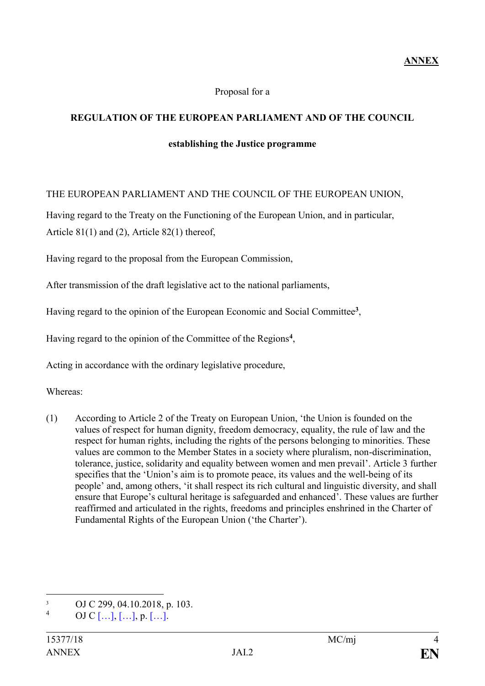#### Proposal for a

#### **REGULATION OF THE EUROPEAN PARLIAMENT AND OF THE COUNCIL**

#### **establishing the Justice programme**

#### THE EUROPEAN PARLIAMENT AND THE COUNCIL OF THE EUROPEAN UNION,

Having regard to the Treaty on the Functioning of the European Union, and in particular, Article 81(1) and (2), Article 82(1) thereof,

Having regard to the proposal from the European Commission,

After transmission of the draft legislative act to the national parliaments,

Having regard to the opinion of the European Economic and Social Committee**<sup>3</sup>** ,

Having regard to the opinion of the Committee of the Regions**<sup>4</sup>** ,

Acting in accordance with the ordinary legislative procedure,

Whereas:

(1) According to Article 2 of the Treaty on European Union, 'the Union is founded on the values of respect for human dignity, freedom democracy, equality, the rule of law and the respect for human rights, including the rights of the persons belonging to minorities. These values are common to the Member States in a society where pluralism, non-discrimination, tolerance, justice, solidarity and equality between women and men prevail'. Article 3 further specifies that the 'Union's aim is to promote peace, its values and the well-being of its people' and, among others, 'it shall respect its rich cultural and linguistic diversity, and shall ensure that Europe's cultural heritage is safeguarded and enhanced'. These values are further reaffirmed and articulated in the rights, freedoms and principles enshrined in the Charter of Fundamental Rights of the European Union ('the Charter').

<sup>1</sup>  $\frac{3}{4}$  OJ C 299, 04.10.2018, p. 103.

OJ C  $[...]$ ,  $[...]$ , p.  $[...]$ .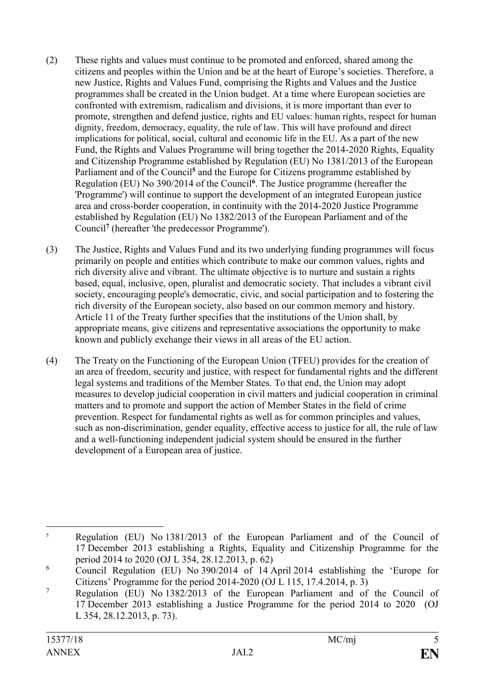- (2) These rights and values must continue to be promoted and enforced, shared among the citizens and peoples within the Union and be at the heart of Europe's societies. Therefore, a new Justice, Rights and Values Fund, comprising the Rights and Values and the Justice programmes shall be created in the Union budget. At a time where European societies are confronted with extremism, radicalism and divisions, it is more important than ever to promote, strengthen and defend justice, rights and EU values: human rights, respect for human dignity, freedom, democracy, equality, the rule of law. This will have profound and direct implications for political, social, cultural and economic life in the EU. As a part of the new Fund, the Rights and Values Programme will bring together the 2014-2020 Rights, Equality and Citizenship Programme established by Regulation (EU) No 1381/2013 of the European Parliament and of the Council**<sup>5</sup>** and the Europe for Citizens programme established by Regulation (EU) No 390/2014 of the Council**<sup>6</sup>** . The Justice programme (hereafter the 'Programme') will continue to support the development of an integrated European justice area and cross-border cooperation, in continuity with the 2014-2020 Justice Programme established by Regulation (EU) No 1382/2013 of the European Parliament and of the Council**<sup>7</sup>** (hereafter 'the predecessor Programme').
- (3) The Justice, Rights and Values Fund and its two underlying funding programmes will focus primarily on people and entities which contribute to make our common values, rights and rich diversity alive and vibrant. The ultimate objective is to nurture and sustain a rights based, equal, inclusive, open, pluralist and democratic society. That includes a vibrant civil society, encouraging people's democratic, civic, and social participation and to fostering the rich diversity of the European society, also based on our common memory and history. Article 11 of the Treaty further specifies that the institutions of the Union shall, by appropriate means, give citizens and representative associations the opportunity to make known and publicly exchange their views in all areas of the EU action.
- (4) The Treaty on the Functioning of the European Union (TFEU) provides for the creation of an area of freedom, security and justice, with respect for fundamental rights and the different legal systems and traditions of the Member States. To that end, the Union may adopt measures to develop judicial cooperation in civil matters and judicial cooperation in criminal matters and to promote and support the action of Member States in the field of crime prevention. Respect for fundamental rights as well as for common principles and values, such as non-discrimination, gender equality, effective access to justice for all, the rule of law and a well-functioning independent judicial system should be ensured in the further development of a European area of justice.

<sup>&</sup>lt;u>.</u> <sup>5</sup> Regulation (EU) No 1381/2013 of the European Parliament and of the Council of 17 December 2013 establishing a Rights, Equality and Citizenship Programme for the period 2014 to 2020 (OJ L 354, 28.12.2013, p. 62)

 $\overline{6}$  Council Regulation (EU) No 390/2014 of 14 April 2014 establishing the 'Europe for Citizens' Programme for the period 2014-2020 (OJ L 115, 17.4.2014, p. 3)

<sup>&</sup>lt;sup>7</sup> Regulation (EU) No 1382/2013 of the European Parliament and of the Council of 17 December 2013 establishing a Justice Programme for the period 2014 to 2020 (OJ L 354, 28.12.2013, p. 73).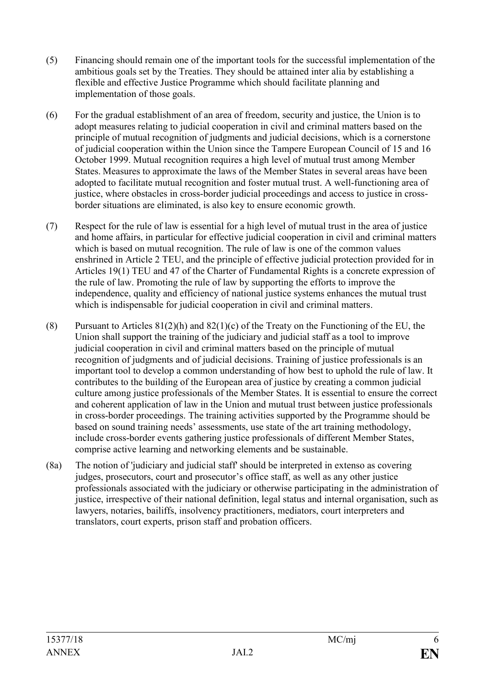- (5) Financing should remain one of the important tools for the successful implementation of the ambitious goals set by the Treaties. They should be attained inter alia by establishing a flexible and effective Justice Programme which should facilitate planning and implementation of those goals.
- (6) For the gradual establishment of an area of freedom, security and justice, the Union is to adopt measures relating to judicial cooperation in civil and criminal matters based on the principle of mutual recognition of judgments and judicial decisions, which is a cornerstone of judicial cooperation within the Union since the Tampere European Council of 15 and 16 October 1999. Mutual recognition requires a high level of mutual trust among Member States. Measures to approximate the laws of the Member States in several areas have been adopted to facilitate mutual recognition and foster mutual trust. A well-functioning area of justice, where obstacles in cross-border judicial proceedings and access to justice in crossborder situations are eliminated, is also key to ensure economic growth.
- (7) Respect for the rule of law is essential for a high level of mutual trust in the area of justice and home affairs, in particular for effective judicial cooperation in civil and criminal matters which is based on mutual recognition. The rule of law is one of the common values enshrined in Article 2 TEU, and the principle of effective judicial protection provided for in Articles 19(1) TEU and 47 of the Charter of Fundamental Rights is a concrete expression of the rule of law. Promoting the rule of law by supporting the efforts to improve the independence, quality and efficiency of national justice systems enhances the mutual trust which is indispensable for judicial cooperation in civil and criminal matters.
- (8) Pursuant to Articles  $81(2)(h)$  and  $82(1)(c)$  of the Treaty on the Functioning of the EU, the Union shall support the training of the judiciary and judicial staff as a tool to improve judicial cooperation in civil and criminal matters based on the principle of mutual recognition of judgments and of judicial decisions. Training of justice professionals is an important tool to develop a common understanding of how best to uphold the rule of law. It contributes to the building of the European area of justice by creating a common judicial culture among justice professionals of the Member States. It is essential to ensure the correct and coherent application of law in the Union and mutual trust between justice professionals in cross-border proceedings. The training activities supported by the Programme should be based on sound training needs' assessments, use state of the art training methodology, include cross-border events gathering justice professionals of different Member States, comprise active learning and networking elements and be sustainable.
- (8a) The notion of 'judiciary and judicial staff' should be interpreted in extenso as covering judges, prosecutors, court and prosecutor's office staff, as well as any other justice professionals associated with the judiciary or otherwise participating in the administration of justice, irrespective of their national definition, legal status and internal organisation, such as lawyers, notaries, bailiffs, insolvency practitioners, mediators, court interpreters and translators, court experts, prison staff and probation officers.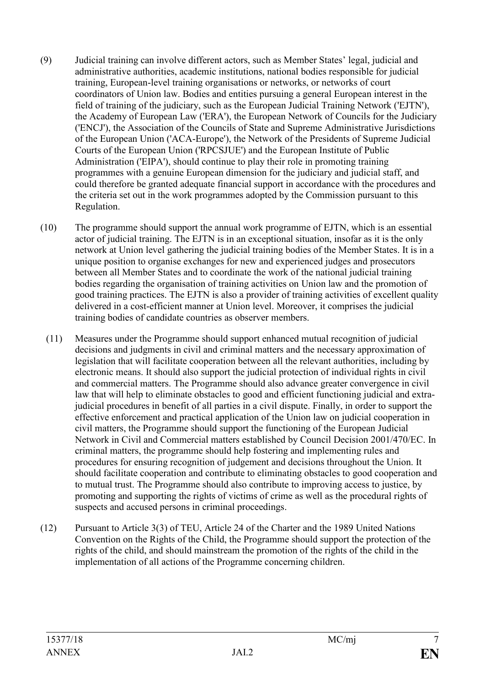- (9) Judicial training can involve different actors, such as Member States' legal, judicial and administrative authorities, academic institutions, national bodies responsible for judicial training, European-level training organisations or networks, or networks of court coordinators of Union law. Bodies and entities pursuing a general European interest in the field of training of the judiciary, such as the European Judicial Training Network ('EJTN'), the Academy of European Law ('ERA'), the European Network of Councils for the Judiciary ('ENCJ'), the Association of the Councils of State and Supreme Administrative Jurisdictions of the European Union ('ACA-Europe'), the Network of the Presidents of Supreme Judicial Courts of the European Union ('RPCSJUE') and the European Institute of Public Administration ('EIPA'), should continue to play their role in promoting training programmes with a genuine European dimension for the judiciary and judicial staff, and could therefore be granted adequate financial support in accordance with the procedures and the criteria set out in the work programmes adopted by the Commission pursuant to this Regulation.
- (10) The programme should support the annual work programme of EJTN, which is an essential actor of judicial training. The EJTN is in an exceptional situation, insofar as it is the only network at Union level gathering the judicial training bodies of the Member States. It is in a unique position to organise exchanges for new and experienced judges and prosecutors between all Member States and to coordinate the work of the national judicial training bodies regarding the organisation of training activities on Union law and the promotion of good training practices. The EJTN is also a provider of training activities of excellent quality delivered in a cost-efficient manner at Union level. Moreover, it comprises the judicial training bodies of candidate countries as observer members.
	- (11) Measures under the Programme should support enhanced mutual recognition of judicial decisions and judgments in civil and criminal matters and the necessary approximation of legislation that will facilitate cooperation between all the relevant authorities, including by electronic means. It should also support the judicial protection of individual rights in civil and commercial matters. The Programme should also advance greater convergence in civil law that will help to eliminate obstacles to good and efficient functioning judicial and extrajudicial procedures in benefit of all parties in a civil dispute. Finally, in order to support the effective enforcement and practical application of the Union law on judicial cooperation in civil matters, the Programme should support the functioning of the European Judicial Network in Civil and Commercial matters established by Council Decision 2001/470/EC. In criminal matters, the programme should help fostering and implementing rules and procedures for ensuring recognition of judgement and decisions throughout the Union. It should facilitate cooperation and contribute to eliminating obstacles to good cooperation and to mutual trust. The Programme should also contribute to improving access to justice, by promoting and supporting the rights of victims of crime as well as the procedural rights of suspects and accused persons in criminal proceedings.
- (12) Pursuant to Article 3(3) of TEU, Article 24 of the Charter and the 1989 United Nations Convention on the Rights of the Child, the Programme should support the protection of the rights of the child, and should mainstream the promotion of the rights of the child in the implementation of all actions of the Programme concerning children.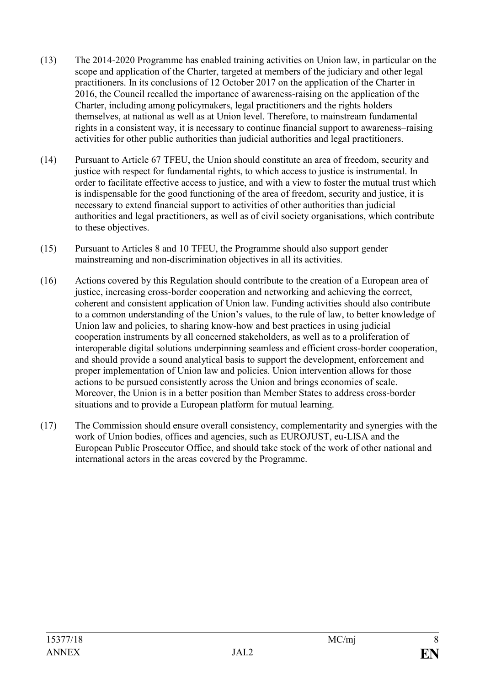- (13) The 2014-2020 Programme has enabled training activities on Union law, in particular on the scope and application of the Charter, targeted at members of the judiciary and other legal practitioners. In its conclusions of 12 October 2017 on the application of the Charter in 2016, the Council recalled the importance of awareness-raising on the application of the Charter, including among policymakers, legal practitioners and the rights holders themselves, at national as well as at Union level. Therefore, to mainstream fundamental rights in a consistent way, it is necessary to continue financial support to awareness–raising activities for other public authorities than judicial authorities and legal practitioners.
- (14) Pursuant to Article 67 TFEU, the Union should constitute an area of freedom, security and justice with respect for fundamental rights, to which access to justice is instrumental. In order to facilitate effective access to justice, and with a view to foster the mutual trust which is indispensable for the good functioning of the area of freedom, security and justice, it is necessary to extend financial support to activities of other authorities than judicial authorities and legal practitioners, as well as of civil society organisations, which contribute to these objectives.
- (15) Pursuant to Articles 8 and 10 TFEU, the Programme should also support gender mainstreaming and non-discrimination objectives in all its activities.
- (16) Actions covered by this Regulation should contribute to the creation of a European area of justice, increasing cross-border cooperation and networking and achieving the correct, coherent and consistent application of Union law. Funding activities should also contribute to a common understanding of the Union's values, to the rule of law, to better knowledge of Union law and policies, to sharing know-how and best practices in using judicial cooperation instruments by all concerned stakeholders, as well as to a proliferation of interoperable digital solutions underpinning seamless and efficient cross-border cooperation, and should provide a sound analytical basis to support the development, enforcement and proper implementation of Union law and policies. Union intervention allows for those actions to be pursued consistently across the Union and brings economies of scale. Moreover, the Union is in a better position than Member States to address cross-border situations and to provide a European platform for mutual learning.
- (17) The Commission should ensure overall consistency, complementarity and synergies with the work of Union bodies, offices and agencies, such as EUROJUST, eu-LISA and the European Public Prosecutor Office, and should take stock of the work of other national and international actors in the areas covered by the Programme.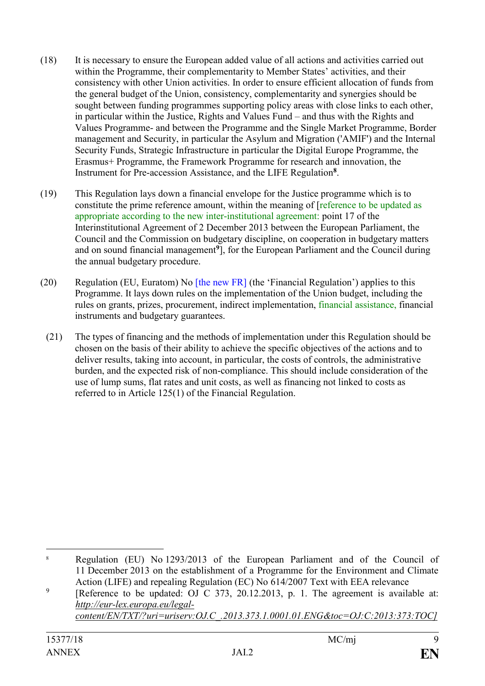- (18) It is necessary to ensure the European added value of all actions and activities carried out within the Programme, their complementarity to Member States' activities, and their consistency with other Union activities. In order to ensure efficient allocation of funds from the general budget of the Union, consistency, complementarity and synergies should be sought between funding programmes supporting policy areas with close links to each other, in particular within the Justice, Rights and Values Fund – and thus with the Rights and Values Programme- and between the Programme and the Single Market Programme, Border management and Security, in particular the Asylum and Migration ('AMIF') and the Internal Security Funds, Strategic Infrastructure in particular the Digital Europe Programme, the Erasmus+ Programme, the Framework Programme for research and innovation, the Instrument for Pre-accession Assistance, and the LIFE Regulation**<sup>8</sup>** .
- (19) This Regulation lays down a financial envelope for the Justice programme which is to constitute the prime reference amount, within the meaning of [reference to be updated as appropriate according to the new inter-institutional agreement: point 17 of the Interinstitutional Agreement of 2 December 2013 between the European Parliament, the Council and the Commission on budgetary discipline, on cooperation in budgetary matters and on sound financial management**<sup>9</sup>** ], for the European Parliament and the Council during the annual budgetary procedure.
- (20) Regulation (EU, Euratom) No [the new FR] (the 'Financial Regulation') applies to this Programme. It lays down rules on the implementation of the Union budget, including the rules on grants, prizes, procurement, indirect implementation, financial assistance, financial instruments and budgetary guarantees.
	- (21) The types of financing and the methods of implementation under this Regulation should be chosen on the basis of their ability to achieve the specific objectives of the actions and to deliver results, taking into account, in particular, the costs of controls, the administrative burden, and the expected risk of non-compliance. This should include consideration of the use of lump sums, flat rates and unit costs, as well as financing not linked to costs as referred to in Article 125(1) of the Financial Regulation.

*[content/EN/TXT/?uri=uriserv:OJ.C\\_.2013.373.1.0001.01.ENG&toc=OJ:C:2013:373:TOC\]](http://eur-lex.europa.eu/legal-content/EN/TXT/?uri=uriserv:OJ.C_.2013.373.01.0001.01.ENG&toc=OJ:C:2013:373:TOC)*

<sup>1</sup> <sup>8</sup> Regulation (EU) No 1293/2013 of the European Parliament and of the Council of 11 December 2013 on the establishment of a Programme for the Environment and Climate Action (LIFE) and repealing Regulation (EC) No 614/2007 Text with EEA relevance

<sup>9</sup> [Reference to be updated: OJ C 373, 20.12.2013, p. 1. The agreement is available at: *[http://eur-lex.europa.eu/legal-](http://eur-lex.europa.eu/legal-content/EN/TXT/?uri=uriserv:OJ.C_.2013.373.01.0001.01.ENG&toc=OJ:C:2013:373:TOC)*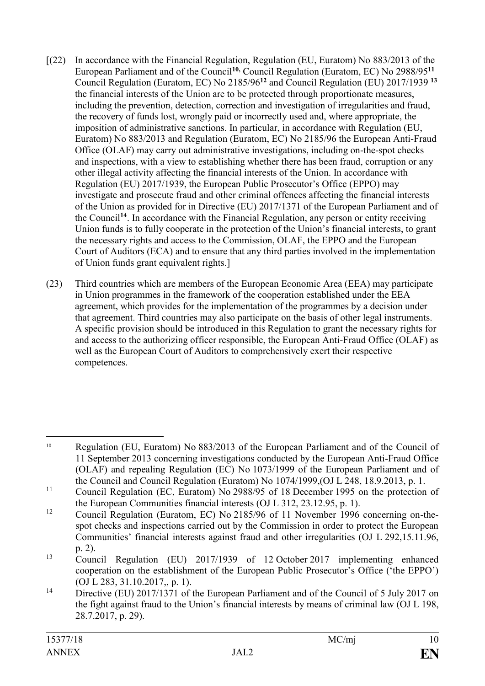- [(22) In accordance with the Financial Regulation, Regulation (EU, Euratom) No 883/2013 of the European Parliament and of the Council**10,** Council Regulation (Euratom, EC) No 2988/95**<sup>11</sup>** Council Regulation (Euratom, EC) No 2185/96**<sup>12</sup>** and Council Regulation (EU) 2017/1939 **<sup>13</sup>** the financial interests of the Union are to be protected through proportionate measures, including the prevention, detection, correction and investigation of irregularities and fraud, the recovery of funds lost, wrongly paid or incorrectly used and, where appropriate, the imposition of administrative sanctions. In particular, in accordance with Regulation (EU, Euratom) No 883/2013 and Regulation (Euratom, EC) No 2185/96 the European Anti-Fraud Office (OLAF) may carry out administrative investigations, including on-the-spot checks and inspections, with a view to establishing whether there has been fraud, corruption or any other illegal activity affecting the financial interests of the Union. In accordance with Regulation (EU) 2017/1939, the European Public Prosecutor's Office (EPPO) may investigate and prosecute fraud and other criminal offences affecting the financial interests of the Union as provided for in Directive (EU) 2017/1371 of the European Parliament and of the Council**<sup>14</sup>** . In accordance with the Financial Regulation, any person or entity receiving Union funds is to fully cooperate in the protection of the Union's financial interests, to grant the necessary rights and access to the Commission, OLAF, the EPPO and the European Court of Auditors (ECA) and to ensure that any third parties involved in the implementation of Union funds grant equivalent rights.]
- (23) Third countries which are members of the European Economic Area (EEA) may participate in Union programmes in the framework of the cooperation established under the EEA agreement, which provides for the implementation of the programmes by a decision under that agreement. Third countries may also participate on the basis of other legal instruments. A specific provision should be introduced in this Regulation to grant the necessary rights for and access to the authorizing officer responsible, the European Anti-Fraud Office (OLAF) as well as the European Court of Auditors to comprehensively exert their respective competences.

<sup>1</sup> <sup>10</sup> Regulation (EU, Euratom) No 883/2013 of the European Parliament and of the Council of 11 September 2013 concerning investigations conducted by the European Anti-Fraud Office (OLAF) and repealing Regulation (EC) No 1073/1999 of the European Parliament and of the Council and Council Regulation (Euratom) No 1074/1999,(OJ L 248, 18.9.2013, p. 1.

<sup>&</sup>lt;sup>11</sup> Council Regulation (EC, Euratom) No 2988/95 of 18 December 1995 on the protection of the European Communities financial interests (OJ L 312, 23.12.95, p. 1).

<sup>12</sup> Council Regulation (Euratom, EC) No 2185/96 of 11 November 1996 concerning on-thespot checks and inspections carried out by the Commission in order to protect the European Communities' financial interests against fraud and other irregularities (OJ L 292,15.11.96, p. 2).

<sup>13</sup> Council Regulation (EU) 2017/1939 of 12 October 2017 implementing enhanced cooperation on the establishment of the European Public Prosecutor's Office ('the EPPO') (OJ L 283, 31.10.2017,, p. 1).

<sup>&</sup>lt;sup>14</sup> Directive (EU) 2017/1371 of the European Parliament and of the Council of 5 July 2017 on the fight against fraud to the Union's financial interests by means of criminal law (OJ L 198, 28.7.2017, p. 29).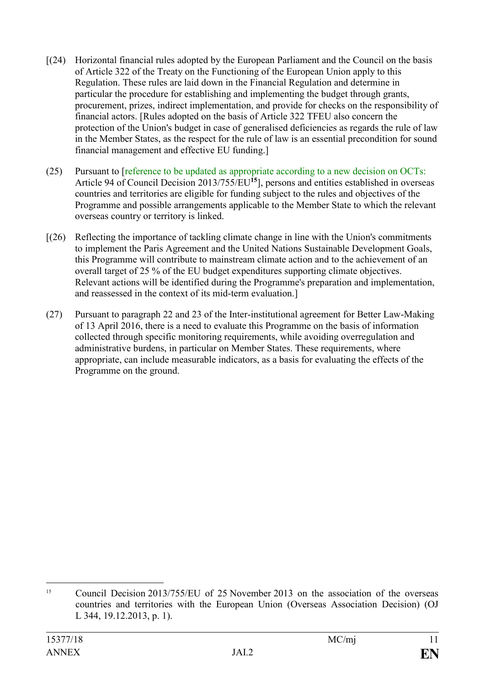- [(24) Horizontal financial rules adopted by the European Parliament and the Council on the basis of Article 322 of the Treaty on the Functioning of the European Union apply to this Regulation. These rules are laid down in the Financial Regulation and determine in particular the procedure for establishing and implementing the budget through grants, procurement, prizes, indirect implementation, and provide for checks on the responsibility of financial actors. [Rules adopted on the basis of Article 322 TFEU also concern the protection of the Union's budget in case of generalised deficiencies as regards the rule of law in the Member States, as the respect for the rule of law is an essential precondition for sound financial management and effective EU funding.]
- (25) Pursuant to [reference to be updated as appropriate according to a new decision on OCTs: Article 94 of Council Decision 2013/755/EU**<sup>15</sup>**], persons and entities established in overseas countries and territories are eligible for funding subject to the rules and objectives of the Programme and possible arrangements applicable to the Member State to which the relevant overseas country or territory is linked.
- [(26) Reflecting the importance of tackling climate change in line with the Union's commitments to implement the Paris Agreement and the United Nations Sustainable Development Goals, this Programme will contribute to mainstream climate action and to the achievement of an overall target of 25 % of the EU budget expenditures supporting climate objectives. Relevant actions will be identified during the Programme's preparation and implementation, and reassessed in the context of its mid-term evaluation.]
- (27) Pursuant to paragraph 22 and 23 of the Inter-institutional agreement for Better Law-Making of 13 April 2016, there is a need to evaluate this Programme on the basis of information collected through specific monitoring requirements, while avoiding overregulation and administrative burdens, in particular on Member States. These requirements, where appropriate, can include measurable indicators, as a basis for evaluating the effects of the Programme on the ground.

<sup>&</sup>lt;u>.</u> <sup>15</sup> Council Decision 2013/755/EU of 25 November 2013 on the association of the overseas countries and territories with the European Union (Overseas Association Decision) (OJ L 344, 19.12.2013, p. 1).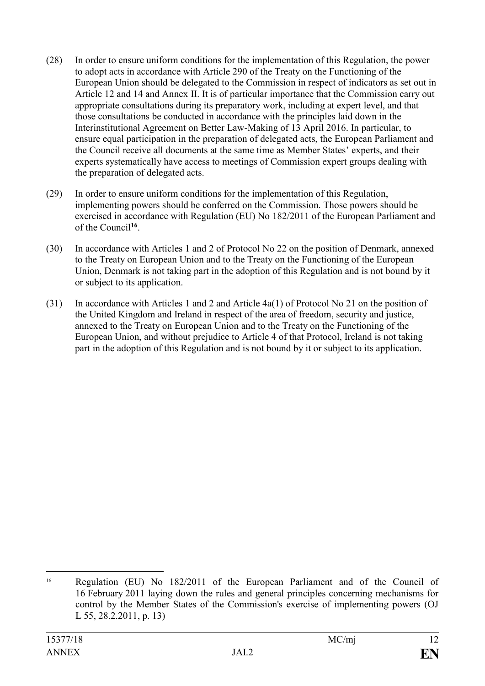- (28) In order to ensure uniform conditions for the implementation of this Regulation, the power to adopt acts in accordance with Article 290 of the Treaty on the Functioning of the European Union should be delegated to the Commission in respect of indicators as set out in Article 12 and 14 and Annex II. It is of particular importance that the Commission carry out appropriate consultations during its preparatory work, including at expert level, and that those consultations be conducted in accordance with the principles laid down in the Interinstitutional Agreement on Better Law-Making of 13 April 2016. In particular, to ensure equal participation in the preparation of delegated acts, the European Parliament and the Council receive all documents at the same time as Member States' experts, and their experts systematically have access to meetings of Commission expert groups dealing with the preparation of delegated acts.
- (29) In order to ensure uniform conditions for the implementation of this Regulation, implementing powers should be conferred on the Commission. Those powers should be exercised in accordance with Regulation (EU) No 182/2011 of the European Parliament and of the Council**<sup>16</sup>** .
- (30) In accordance with Articles 1 and 2 of Protocol No 22 on the position of Denmark, annexed to the Treaty on European Union and to the Treaty on the Functioning of the European Union, Denmark is not taking part in the adoption of this Regulation and is not bound by it or subject to its application.
- (31) In accordance with Articles 1 and 2 and Article 4a(1) of Protocol No 21 on the position of the United Kingdom and Ireland in respect of the area of freedom, security and justice, annexed to the Treaty on European Union and to the Treaty on the Functioning of the European Union, and without prejudice to Article 4 of that Protocol, Ireland is not taking part in the adoption of this Regulation and is not bound by it or subject to its application.

<sup>1</sup> <sup>16</sup> Regulation (EU) No 182/2011 of the European Parliament and of the Council of 16 February 2011 laying down the rules and general principles concerning mechanisms for control by the Member States of the Commission's exercise of implementing powers (OJ L 55, 28.2.2011, p. 13)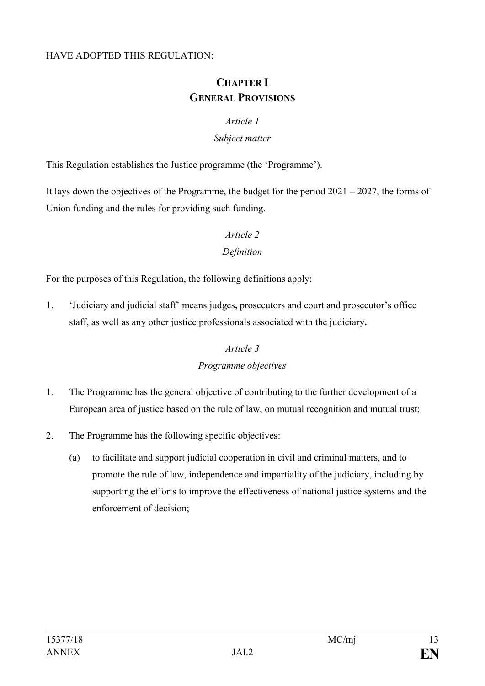#### HAVE ADOPTED THIS REGULATION:

# **CHAPTER I GENERAL PROVISIONS**

#### *Article 1*

#### *Subject matter*

This Regulation establishes the Justice programme (the 'Programme').

It lays down the objectives of the Programme, the budget for the period  $2021 - 2027$ , the forms of Union funding and the rules for providing such funding.

#### *Article 2*

#### *Definition*

For the purposes of this Regulation, the following definitions apply:

1. 'Judiciary and judicial staff' means judges**,** prosecutors and court and prosecutor's office staff, as well as any other justice professionals associated with the judiciary**.**

## *Article 3*

## *Programme objectives*

- 1. The Programme has the general objective of contributing to the further development of a European area of justice based on the rule of law, on mutual recognition and mutual trust;
- 2. The Programme has the following specific objectives:
	- (a) to facilitate and support judicial cooperation in civil and criminal matters, and to promote the rule of law, independence and impartiality of the judiciary, including by supporting the efforts to improve the effectiveness of national justice systems and the enforcement of decision;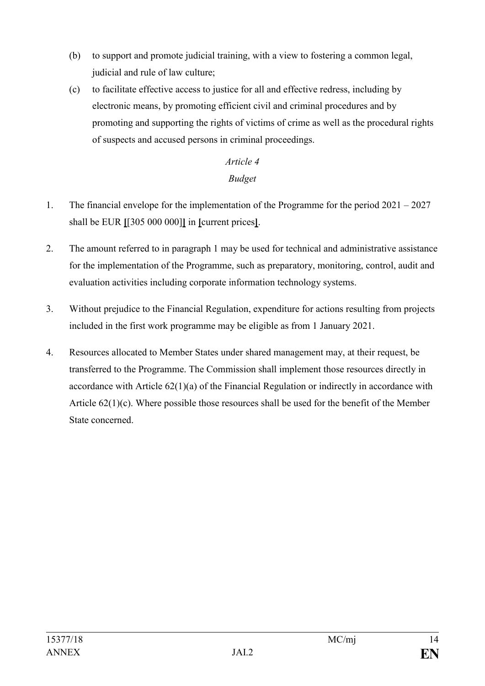- (b) to support and promote judicial training, with a view to fostering a common legal, judicial and rule of law culture;
- (c) to facilitate effective access to justice for all and effective redress, including by electronic means, by promoting efficient civil and criminal procedures and by promoting and supporting the rights of victims of crime as well as the procedural rights of suspects and accused persons in criminal proceedings.

# *Article 4 Budget*

- 1. The financial envelope for the implementation of the Programme for the period 2021 2027 shall be EUR **[**[305 000 000]**]** in **[**current prices**]**.
- 2. The amount referred to in paragraph 1 may be used for technical and administrative assistance for the implementation of the Programme, such as preparatory, monitoring, control, audit and evaluation activities including corporate information technology systems.
- 3. Without prejudice to the Financial Regulation, expenditure for actions resulting from projects included in the first work programme may be eligible as from 1 January 2021.
- 4. Resources allocated to Member States under shared management may, at their request, be transferred to the Programme. The Commission shall implement those resources directly in accordance with Article 62(1)(a) of the Financial Regulation or indirectly in accordance with Article 62(1)(c). Where possible those resources shall be used for the benefit of the Member State concerned.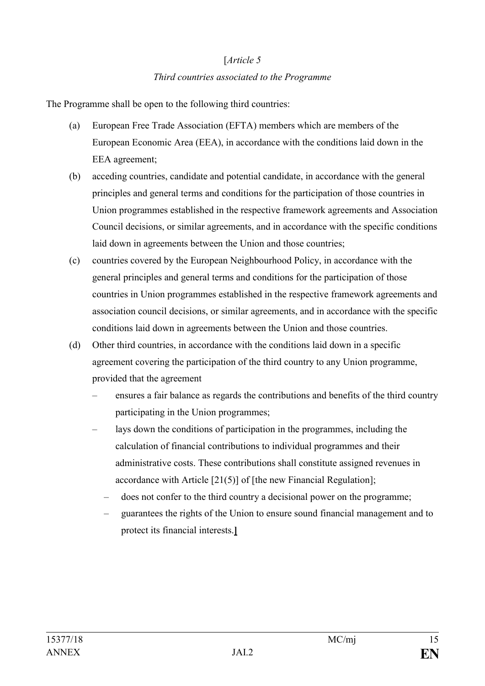# [*Article 5 Third countries associated to the Programme*

The Programme shall be open to the following third countries:

- (a) European Free Trade Association (EFTA) members which are members of the European Economic Area (EEA), in accordance with the conditions laid down in the EEA agreement;
- (b) acceding countries, candidate and potential candidate, in accordance with the general principles and general terms and conditions for the participation of those countries in Union programmes established in the respective framework agreements and Association Council decisions, or similar agreements, and in accordance with the specific conditions laid down in agreements between the Union and those countries;
- (c) countries covered by the European Neighbourhood Policy, in accordance with the general principles and general terms and conditions for the participation of those countries in Union programmes established in the respective framework agreements and association council decisions, or similar agreements, and in accordance with the specific conditions laid down in agreements between the Union and those countries.
- (d) Other third countries, in accordance with the conditions laid down in a specific agreement covering the participation of the third country to any Union programme, provided that the agreement
	- ensures a fair balance as regards the contributions and benefits of the third country participating in the Union programmes;
	- lays down the conditions of participation in the programmes, including the calculation of financial contributions to individual programmes and their administrative costs. These contributions shall constitute assigned revenues in accordance with Article [21(5)] of [the new Financial Regulation];
		- does not confer to the third country a decisional power on the programme;
		- guarantees the rights of the Union to ensure sound financial management and to protect its financial interests.**]**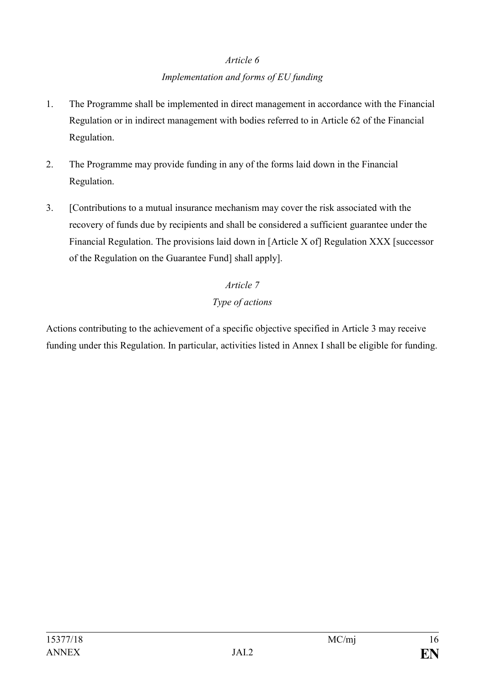# *Article 6 Implementation and forms of EU funding*

- 1. The Programme shall be implemented in direct management in accordance with the Financial Regulation or in indirect management with bodies referred to in Article 62 of the Financial Regulation.
- 2. The Programme may provide funding in any of the forms laid down in the Financial Regulation.
- 3. [Contributions to a mutual insurance mechanism may cover the risk associated with the recovery of funds due by recipients and shall be considered a sufficient guarantee under the Financial Regulation. The provisions laid down in [Article X of] Regulation XXX [successor of the Regulation on the Guarantee Fund] shall apply].

# *Article 7 Type of actions*

Actions contributing to the achievement of a specific objective specified in Article 3 may receive funding under this Regulation. In particular, activities listed in Annex I shall be eligible for funding.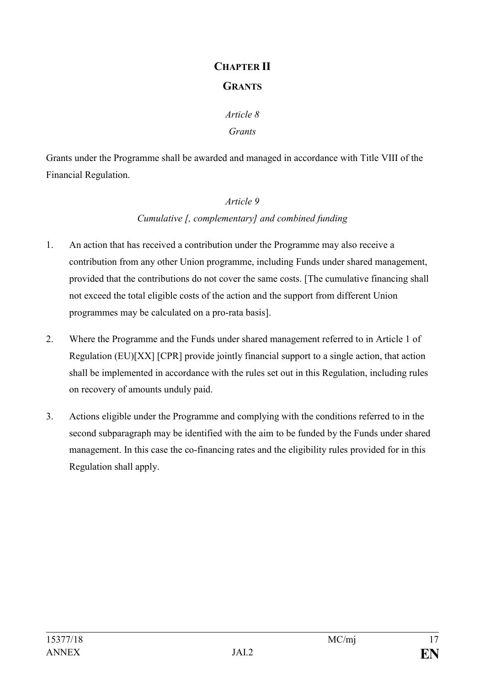# **CHAPTER II GRANTS**

# *Article 8 Grants*

Grants under the Programme shall be awarded and managed in accordance with Title VIII of the Financial Regulation.

# *Article 9 Cumulative [, complementary] and combined funding*

- 1. An action that has received a contribution under the Programme may also receive a contribution from any other Union programme, including Funds under shared management, provided that the contributions do not cover the same costs. [The cumulative financing shall not exceed the total eligible costs of the action and the support from different Union programmes may be calculated on a pro-rata basis].
- 2. Where the Programme and the Funds under shared management referred to in Article 1 of Regulation (EU)[XX] [CPR] provide jointly financial support to a single action, that action shall be implemented in accordance with the rules set out in this Regulation, including rules on recovery of amounts unduly paid.
- 3. Actions eligible under the Programme and complying with the conditions referred to in the second subparagraph may be identified with the aim to be funded by the Funds under shared management. In this case the co-financing rates and the eligibility rules provided for in this Regulation shall apply.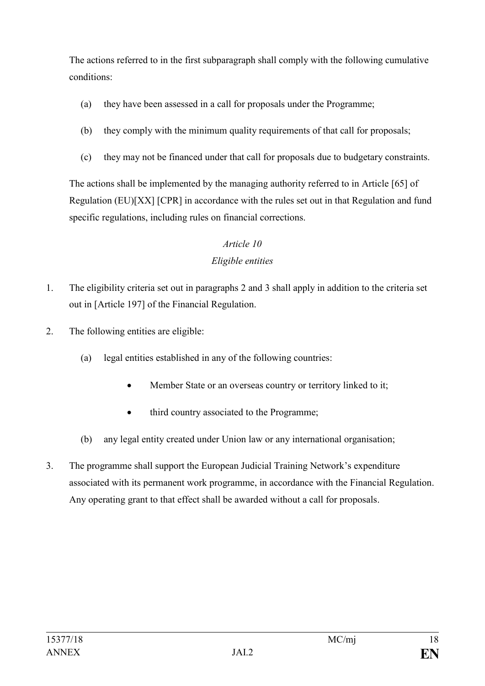The actions referred to in the first subparagraph shall comply with the following cumulative conditions:

- (a) they have been assessed in a call for proposals under the Programme;
- (b) they comply with the minimum quality requirements of that call for proposals;
- (c) they may not be financed under that call for proposals due to budgetary constraints.

The actions shall be implemented by the managing authority referred to in Article [65] of Regulation (EU)[XX] [CPR] in accordance with the rules set out in that Regulation and fund specific regulations, including rules on financial corrections.

# *Article 10 Eligible entities*

- 1. The eligibility criteria set out in paragraphs 2 and 3 shall apply in addition to the criteria set out in [Article 197] of the Financial Regulation.
- 2. The following entities are eligible:
	- (a) legal entities established in any of the following countries:
		- Member State or an overseas country or territory linked to it;
		- third country associated to the Programme;
	- (b) any legal entity created under Union law or any international organisation;
- 3. The programme shall support the European Judicial Training Network's expenditure associated with its permanent work programme, in accordance with the Financial Regulation. Any operating grant to that effect shall be awarded without a call for proposals.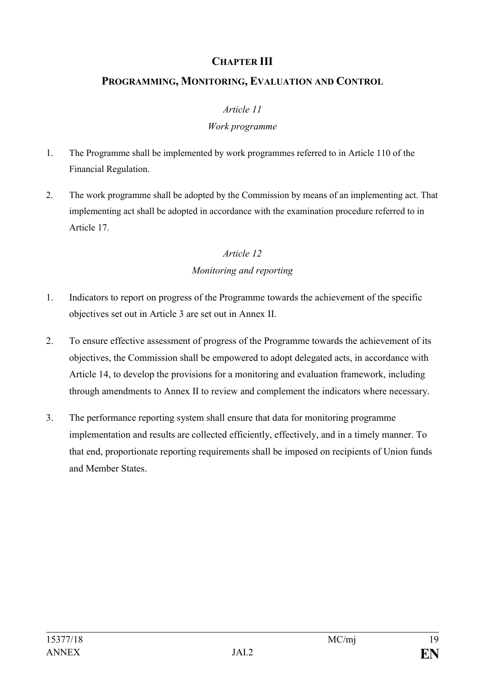# **CHAPTER III**

# **PROGRAMMING, MONITORING, EVALUATION AND CONTROL**

#### *Article 11*

#### *Work programme*

- 1. The Programme shall be implemented by work programmes referred to in Article 110 of the Financial Regulation.
- 2. The work programme shall be adopted by the Commission by means of an implementing act. That implementing act shall be adopted in accordance with the examination procedure referred to in Article 17.

## *Article 12 Monitoring and reporting*

- 1. Indicators to report on progress of the Programme towards the achievement of the specific objectives set out in Article 3 are set out in Annex II.
- 2. To ensure effective assessment of progress of the Programme towards the achievement of its objectives, the Commission shall be empowered to adopt delegated acts, in accordance with Article 14, to develop the provisions for a monitoring and evaluation framework, including through amendments to Annex II to review and complement the indicators where necessary.
- 3. The performance reporting system shall ensure that data for monitoring programme implementation and results are collected efficiently, effectively, and in a timely manner. To that end, proportionate reporting requirements shall be imposed on recipients of Union funds and Member States.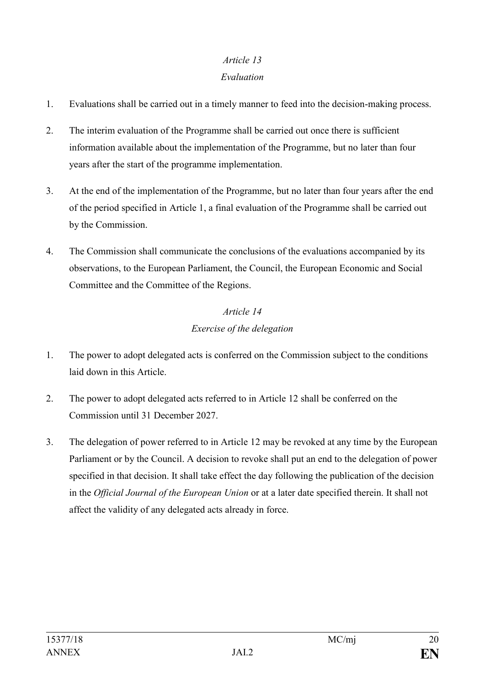# *Article 13*

## *Evaluation*

- 1. Evaluations shall be carried out in a timely manner to feed into the decision-making process.
- 2. The interim evaluation of the Programme shall be carried out once there is sufficient information available about the implementation of the Programme, but no later than four years after the start of the programme implementation.
- 3. At the end of the implementation of the Programme, but no later than four years after the end of the period specified in Article 1, a final evaluation of the Programme shall be carried out by the Commission.
- 4. The Commission shall communicate the conclusions of the evaluations accompanied by its observations, to the European Parliament, the Council, the European Economic and Social Committee and the Committee of the Regions.

# *Article 14 Exercise of the delegation*

- 1. The power to adopt delegated acts is conferred on the Commission subject to the conditions laid down in this Article.
- 2. The power to adopt delegated acts referred to in Article 12 shall be conferred on the Commission until 31 December 2027.
- 3. The delegation of power referred to in Article 12 may be revoked at any time by the European Parliament or by the Council. A decision to revoke shall put an end to the delegation of power specified in that decision. It shall take effect the day following the publication of the decision in the *Official Journal of the European Union* or at a later date specified therein. It shall not affect the validity of any delegated acts already in force.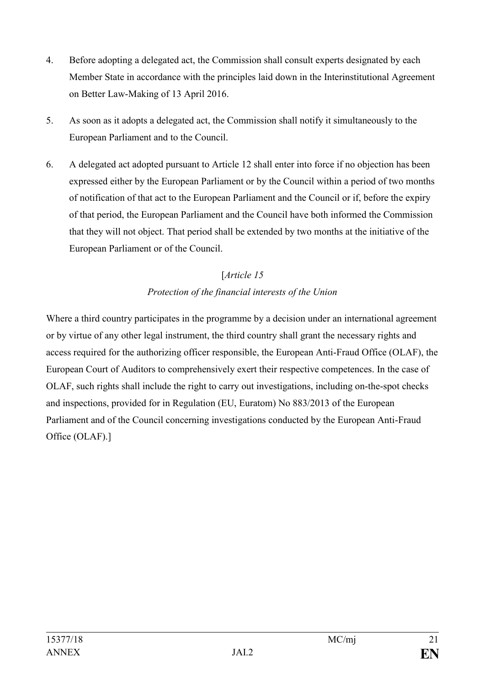- 4. Before adopting a delegated act, the Commission shall consult experts designated by each Member State in accordance with the principles laid down in the Interinstitutional Agreement on Better Law-Making of 13 April 2016.
- 5. As soon as it adopts a delegated act, the Commission shall notify it simultaneously to the European Parliament and to the Council.
- 6. A delegated act adopted pursuant to Article 12 shall enter into force if no objection has been expressed either by the European Parliament or by the Council within a period of two months of notification of that act to the European Parliament and the Council or if, before the expiry of that period, the European Parliament and the Council have both informed the Commission that they will not object. That period shall be extended by two months at the initiative of the European Parliament or of the Council.

# [*Article 15 Protection of the financial interests of the Union*

Where a third country participates in the programme by a decision under an international agreement or by virtue of any other legal instrument, the third country shall grant the necessary rights and access required for the authorizing officer responsible, the European Anti-Fraud Office (OLAF), the European Court of Auditors to comprehensively exert their respective competences. In the case of OLAF, such rights shall include the right to carry out investigations, including on-the-spot checks and inspections, provided for in Regulation (EU, Euratom) No 883/2013 of the European Parliament and of the Council concerning investigations conducted by the European Anti-Fraud Office (OLAF).]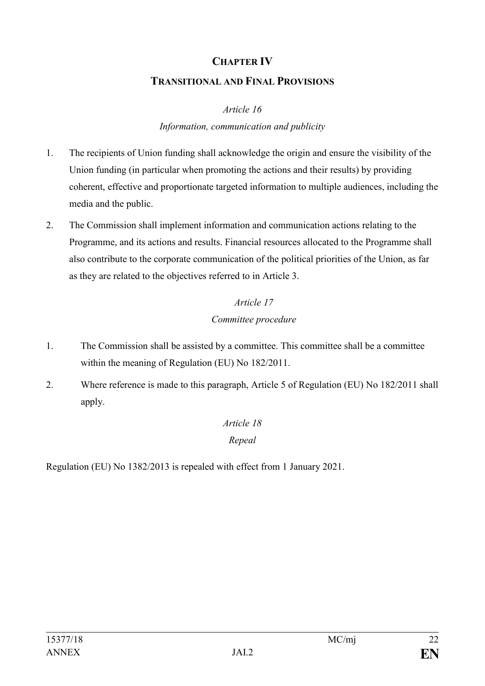## **CHAPTER IV**

#### **TRANSITIONAL AND FINAL PROVISIONS**

*Article 16*

## *Information, communication and publicity*

- 1. The recipients of Union funding shall acknowledge the origin and ensure the visibility of the Union funding (in particular when promoting the actions and their results) by providing coherent, effective and proportionate targeted information to multiple audiences, including the media and the public.
- 2. The Commission shall implement information and communication actions relating to the Programme, and its actions and results. Financial resources allocated to the Programme shall also contribute to the corporate communication of the political priorities of the Union, as far as they are related to the objectives referred to in Article 3.

# *Article 17 Committee procedure*

- 1. The Commission shall be assisted by a committee. This committee shall be a committee within the meaning of Regulation (EU) No 182/2011.
- 2. Where reference is made to this paragraph, Article 5 of Regulation (EU) No 182/2011 shall apply.

# *Article 18 Repeal*

Regulation (EU) No 1382/2013 is repealed with effect from 1 January 2021.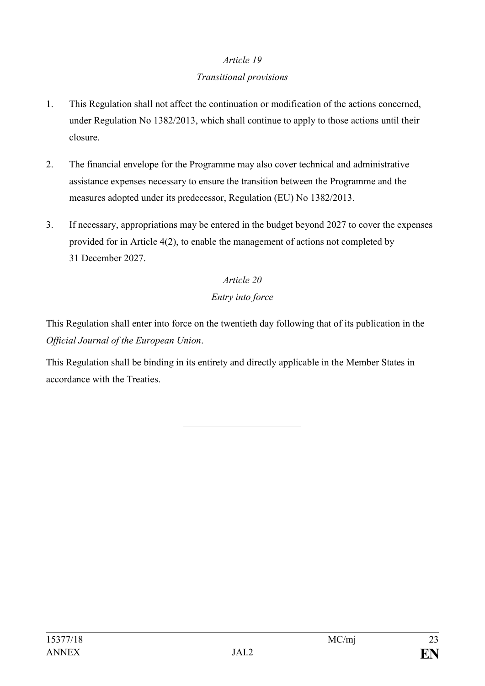# *Article 19*

# *Transitional provisions*

- 1. This Regulation shall not affect the continuation or modification of the actions concerned, under Regulation No 1382/2013, which shall continue to apply to those actions until their closure.
- 2. The financial envelope for the Programme may also cover technical and administrative assistance expenses necessary to ensure the transition between the Programme and the measures adopted under its predecessor, Regulation (EU) No 1382/2013.
- 3. If necessary, appropriations may be entered in the budget beyond 2027 to cover the expenses provided for in Article 4(2), to enable the management of actions not completed by 31 December 2027.

# *Article 20 Entry into force*

This Regulation shall enter into force on the twentieth day following that of its publication in the *Official Journal of the European Union*.

This Regulation shall be binding in its entirety and directly applicable in the Member States in accordance with the Treaties.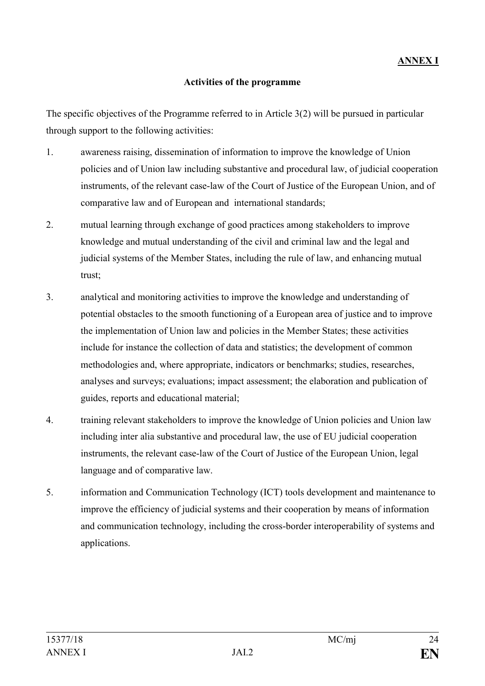#### **Activities of the programme**

The specific objectives of the Programme referred to in Article 3(2) will be pursued in particular through support to the following activities:

- 1. awareness raising, dissemination of information to improve the knowledge of Union policies and of Union law including substantive and procedural law, of judicial cooperation instruments, of the relevant case-law of the Court of Justice of the European Union, and of comparative law and of European and international standards;
- 2. mutual learning through exchange of good practices among stakeholders to improve knowledge and mutual understanding of the civil and criminal law and the legal and judicial systems of the Member States, including the rule of law, and enhancing mutual trust;
- 3. analytical and monitoring activities to improve the knowledge and understanding of potential obstacles to the smooth functioning of a European area of justice and to improve the implementation of Union law and policies in the Member States; these activities include for instance the collection of data and statistics; the development of common methodologies and, where appropriate, indicators or benchmarks; studies, researches, analyses and surveys; evaluations; impact assessment; the elaboration and publication of guides, reports and educational material;
- 4. training relevant stakeholders to improve the knowledge of Union policies and Union law including inter alia substantive and procedural law, the use of EU judicial cooperation instruments, the relevant case-law of the Court of Justice of the European Union, legal language and of comparative law.
- 5. information and Communication Technology (ICT) tools development and maintenance to improve the efficiency of judicial systems and their cooperation by means of information and communication technology, including the cross-border interoperability of systems and applications.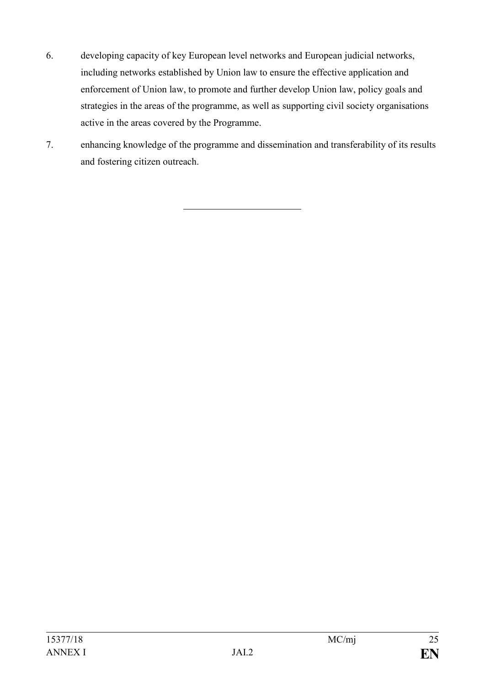- 6. developing capacity of key European level networks and European judicial networks, including networks established by Union law to ensure the effective application and enforcement of Union law, to promote and further develop Union law, policy goals and strategies in the areas of the programme, as well as supporting civil society organisations active in the areas covered by the Programme.
- 7. enhancing knowledge of the programme and dissemination and transferability of its results and fostering citizen outreach.